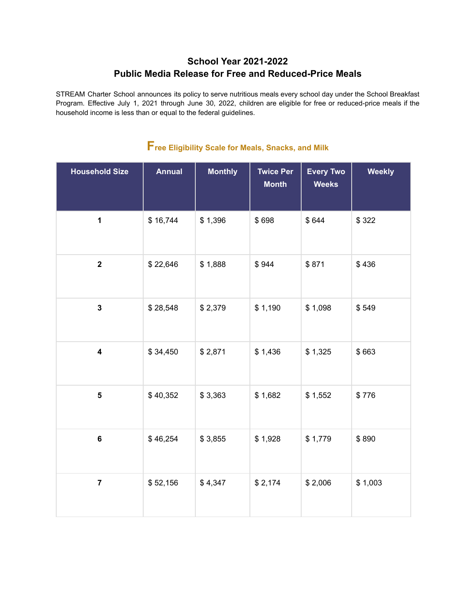## **School Year 2021-2022 Public Media Release for Free and Reduced-Price Meals**

STREAM Charter School announces its policy to serve nutritious meals every school day under the School Breakfast Program. Effective July 1, 2021 through June 30, 2022, children are eligible for free or reduced-price meals if the household income is less than or equal to the federal guidelines.

| <b>Household Size</b>   | <b>Annual</b> | <b>Monthly</b> | <b>Twice Per</b><br><b>Month</b> | <b>Every Two</b><br><b>Weeks</b> | <b>Weekly</b> |
|-------------------------|---------------|----------------|----------------------------------|----------------------------------|---------------|
| $\mathbf 1$             | \$16,744      | \$1,396        | \$698                            | \$644                            | \$322         |
| $\overline{2}$          | \$22,646      | \$1,888        | \$944                            | \$871                            | \$436         |
| $\mathbf{3}$            | \$28,548      | \$2,379        | \$1,190                          | \$1,098                          | \$549         |
| $\overline{\mathbf{4}}$ | \$34,450      | \$2,871        | \$1,436                          | \$1,325                          | \$663         |
| $\overline{\mathbf{5}}$ | \$40,352      | \$3,363        | \$1,682                          | \$1,552                          | \$776         |
| $\bf 6$                 | \$46,254      | \$3,855        | \$1,928                          | \$1,779                          | \$890         |
| $\overline{7}$          | \$52,156      | \$4,347        | \$2,174                          | \$2,006                          | \$1,003       |

## **Free Eligibility Scale for Meals, Snacks, and Milk**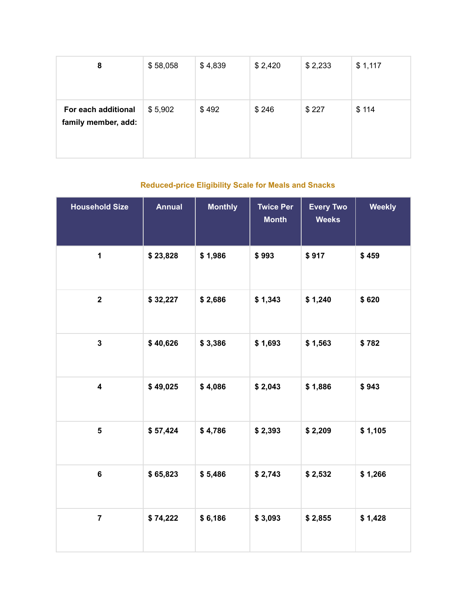| 8                                          | \$58,058 | \$4,839 | \$2,420 | \$2,233 | \$1,117 |
|--------------------------------------------|----------|---------|---------|---------|---------|
| For each additional<br>family member, add: | \$5,902  | \$492   | \$246   | \$227   | \$114   |

## **Reduced-price Eligibility Scale for Meals and Snacks**

| <b>Household Size</b>   | <b>Annual</b> | <b>Monthly</b> | <b>Twice Per</b><br><b>Month</b> | <b>Every Two</b><br><b>Weeks</b> | <b>Weekly</b> |
|-------------------------|---------------|----------------|----------------------------------|----------------------------------|---------------|
| $\mathbf{1}$            | \$23,828      | \$1,986        | \$993                            | \$917                            | \$459         |
| $\mathbf 2$             | \$32,227      | \$2,686        | \$1,343                          | \$1,240                          | \$620         |
| $\mathbf{3}$            | \$40,626      | \$3,386        | \$1,693                          | \$1,563                          | \$782         |
| $\overline{\mathbf{4}}$ | \$49,025      | \$4,086        | \$2,043                          | \$1,886                          | \$943         |
| $\overline{\mathbf{5}}$ | \$57,424      | \$4,786        | \$2,393                          | \$2,209                          | \$1,105       |
| 6                       | \$65,823      | \$5,486        | \$2,743                          | \$2,532                          | \$1,266       |
| $\overline{\mathbf{7}}$ | \$74,222      | \$6,186        | \$3,093                          | \$2,855                          | \$1,428       |